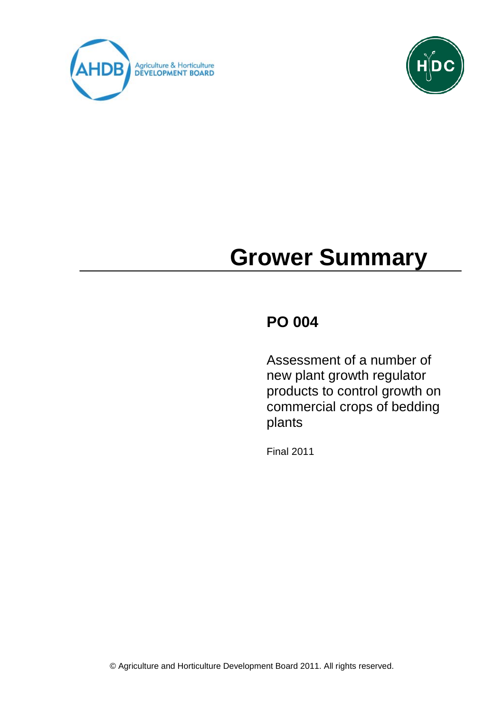



# **Grower Summary**

# **PO 004**

Assessment of a number of new plant growth regulator products to control growth on commercial crops of bedding plants

Final 2011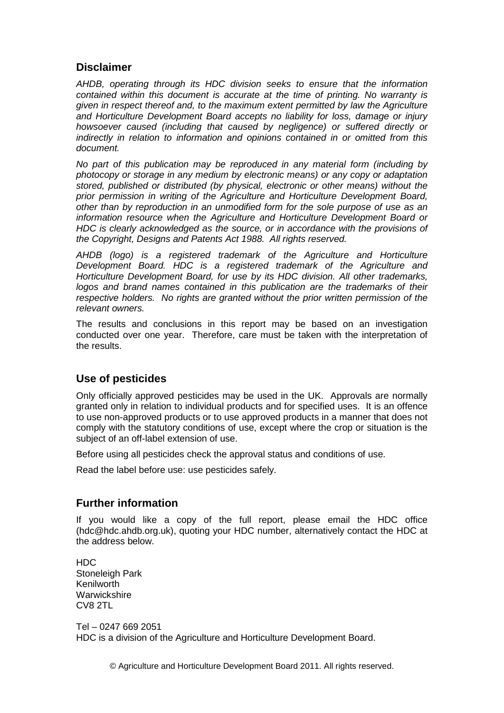#### **Disclaimer**

*AHDB, operating through its HDC division seeks to ensure that the information contained within this document is accurate at the time of printing. No warranty is given in respect thereof and, to the maximum extent permitted by law the Agriculture and Horticulture Development Board accepts no liability for loss, damage or injury howsoever caused (including that caused by negligence) or suffered directly or indirectly in relation to information and opinions contained in or omitted from this document.* 

*No part of this publication may be reproduced in any material form (including by photocopy or storage in any medium by electronic means) or any copy or adaptation stored, published or distributed (by physical, electronic or other means) without the prior permission in writing of the Agriculture and Horticulture Development Board, other than by reproduction in an unmodified form for the sole purpose of use as an information resource when the Agriculture and Horticulture Development Board or HDC is clearly acknowledged as the source, or in accordance with the provisions of the Copyright, Designs and Patents Act 1988. All rights reserved.* 

*AHDB (logo) is a registered trademark of the Agriculture and Horticulture Development Board. HDC is a registered trademark of the Agriculture and Horticulture Development Board, for use by its HDC division. All other trademarks, logos and brand names contained in this publication are the trademarks of their respective holders. No rights are granted without the prior written permission of the relevant owners.*

The results and conclusions in this report may be based on an investigation conducted over one year. Therefore, care must be taken with the interpretation of the results.

#### **Use of pesticides**

Only officially approved pesticides may be used in the UK. Approvals are normally granted only in relation to individual products and for specified uses. It is an offence to use non-approved products or to use approved products in a manner that does not comply with the statutory conditions of use, except where the crop or situation is the subject of an off-label extension of use.

Before using all pesticides check the approval status and conditions of use.

Read the label before use: use pesticides safely.

#### **Further information**

If you would like a copy of the full report, please email the HDC office (hdc@hdc.ahdb.org.uk), quoting your HDC number, alternatively contact the HDC at the address below.

HDC Stoneleigh Park Kenilworth **Warwickshire** CV8 2TL

Tel – 0247 669 2051 HDC is a division of the Agriculture and Horticulture Development Board.

© Agriculture and Horticulture Development Board 2011. All rights reserved.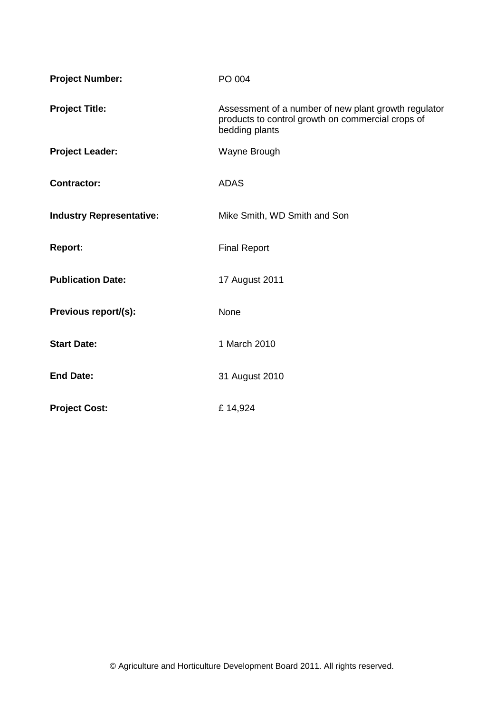| <b>Project Number:</b>          | PO 004                                                                                                                      |
|---------------------------------|-----------------------------------------------------------------------------------------------------------------------------|
| <b>Project Title:</b>           | Assessment of a number of new plant growth regulator<br>products to control growth on commercial crops of<br>bedding plants |
| <b>Project Leader:</b>          | Wayne Brough                                                                                                                |
| <b>Contractor:</b>              | <b>ADAS</b>                                                                                                                 |
| <b>Industry Representative:</b> | Mike Smith, WD Smith and Son                                                                                                |
| <b>Report:</b>                  | <b>Final Report</b>                                                                                                         |
| <b>Publication Date:</b>        | 17 August 2011                                                                                                              |
| Previous report/(s):            | <b>None</b>                                                                                                                 |
| <b>Start Date:</b>              | 1 March 2010                                                                                                                |
| <b>End Date:</b>                | 31 August 2010                                                                                                              |
| <b>Project Cost:</b>            | £14,924                                                                                                                     |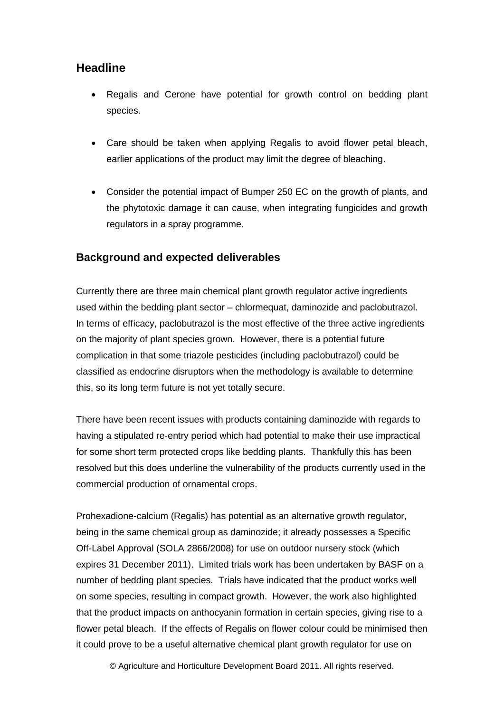#### **Headline**

- Regalis and Cerone have potential for growth control on bedding plant species.
- Care should be taken when applying Regalis to avoid flower petal bleach, earlier applications of the product may limit the degree of bleaching.
- Consider the potential impact of Bumper 250 EC on the growth of plants, and the phytotoxic damage it can cause, when integrating fungicides and growth regulators in a spray programme.

#### **Background and expected deliverables**

Currently there are three main chemical plant growth regulator active ingredients used within the bedding plant sector – chlormequat, daminozide and paclobutrazol. In terms of efficacy, paclobutrazol is the most effective of the three active ingredients on the majority of plant species grown. However, there is a potential future complication in that some triazole pesticides (including paclobutrazol) could be classified as endocrine disruptors when the methodology is available to determine this, so its long term future is not yet totally secure.

There have been recent issues with products containing daminozide with regards to having a stipulated re-entry period which had potential to make their use impractical for some short term protected crops like bedding plants. Thankfully this has been resolved but this does underline the vulnerability of the products currently used in the commercial production of ornamental crops.

Prohexadione-calcium (Regalis) has potential as an alternative growth regulator, being in the same chemical group as daminozide; it already possesses a Specific Off-Label Approval (SOLA 2866/2008) for use on outdoor nursery stock (which expires 31 December 2011). Limited trials work has been undertaken by BASF on a number of bedding plant species. Trials have indicated that the product works well on some species, resulting in compact growth. However, the work also highlighted that the product impacts on anthocyanin formation in certain species, giving rise to a flower petal bleach. If the effects of Regalis on flower colour could be minimised then it could prove to be a useful alternative chemical plant growth regulator for use on

© Agriculture and Horticulture Development Board 2011. All rights reserved.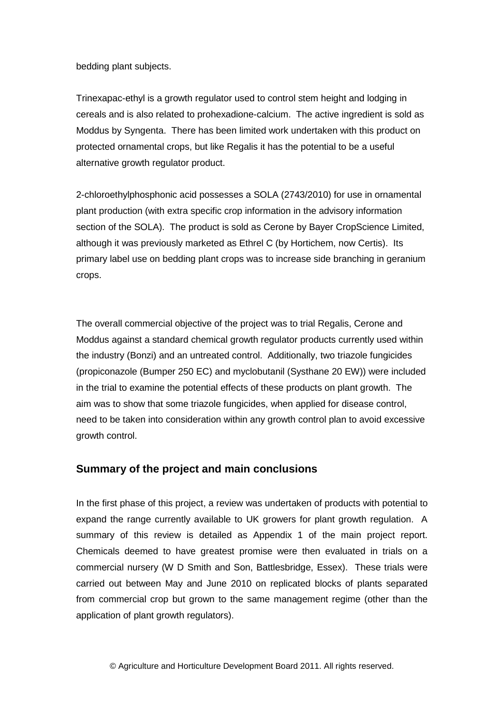bedding plant subjects.

Trinexapac-ethyl is a growth regulator used to control stem height and lodging in cereals and is also related to prohexadione-calcium. The active ingredient is sold as Moddus by Syngenta. There has been limited work undertaken with this product on protected ornamental crops, but like Regalis it has the potential to be a useful alternative growth regulator product.

2-chloroethylphosphonic acid possesses a SOLA (2743/2010) for use in ornamental plant production (with extra specific crop information in the advisory information section of the SOLA). The product is sold as Cerone by Bayer CropScience Limited, although it was previously marketed as Ethrel C (by Hortichem, now Certis). Its primary label use on bedding plant crops was to increase side branching in geranium crops.

The overall commercial objective of the project was to trial Regalis, Cerone and Moddus against a standard chemical growth regulator products currently used within the industry (Bonzi) and an untreated control. Additionally, two triazole fungicides (propiconazole (Bumper 250 EC) and myclobutanil (Systhane 20 EW)) were included in the trial to examine the potential effects of these products on plant growth. The aim was to show that some triazole fungicides, when applied for disease control, need to be taken into consideration within any growth control plan to avoid excessive growth control.

#### **Summary of the project and main conclusions**

In the first phase of this project, a review was undertaken of products with potential to expand the range currently available to UK growers for plant growth regulation. A summary of this review is detailed as Appendix 1 of the main project report. Chemicals deemed to have greatest promise were then evaluated in trials on a commercial nursery (W D Smith and Son, Battlesbridge, Essex). These trials were carried out between May and June 2010 on replicated blocks of plants separated from commercial crop but grown to the same management regime (other than the application of plant growth regulators).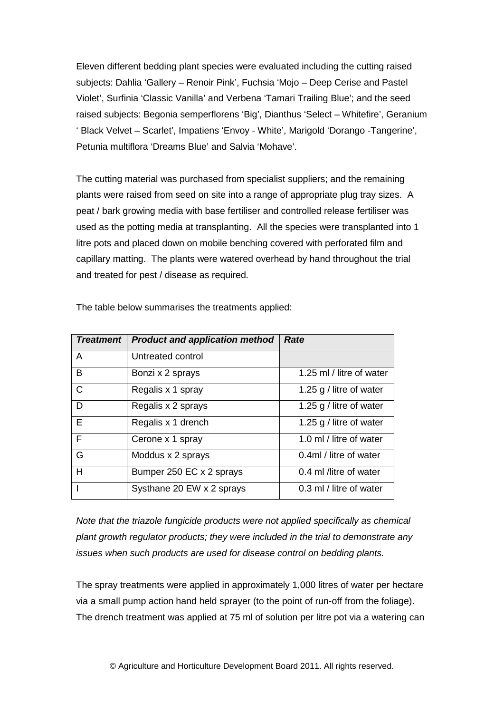Eleven different bedding plant species were evaluated including the cutting raised subjects: Dahlia 'Gallery – Renoir Pink', Fuchsia 'Mojo – Deep Cerise and Pastel Violet', Surfinia 'Classic Vanilla' and Verbena 'Tamari Trailing Blue'; and the seed raised subjects: Begonia semperflorens 'Big', Dianthus 'Select – Whitefire', Geranium ' Black Velvet – Scarlet', Impatiens 'Envoy - White', Marigold 'Dorango -Tangerine', Petunia multiflora 'Dreams Blue' and Salvia 'Mohave'.

The cutting material was purchased from specialist suppliers; and the remaining plants were raised from seed on site into a range of appropriate plug tray sizes. A peat / bark growing media with base fertiliser and controlled release fertiliser was used as the potting media at transplanting. All the species were transplanted into 1 litre pots and placed down on mobile benching covered with perforated film and capillary matting. The plants were watered overhead by hand throughout the trial and treated for pest / disease as required.

| <b>Treatment</b> | <b>Product and application method</b> | Rate                     |
|------------------|---------------------------------------|--------------------------|
| A                | Untreated control                     |                          |
| B                | Bonzi x 2 sprays                      | 1.25 ml / litre of water |
| $\mathsf{C}$     | Regalis x 1 spray                     | 1.25 g / litre of water  |
| D                | Regalis x 2 sprays                    | 1.25 g / litre of water  |
| E                | Regalis x 1 drench                    | 1.25 g / litre of water  |
| F                | Cerone x 1 spray                      | 1.0 ml / litre of water  |
| G                | Moddus x 2 sprays                     | 0.4ml / litre of water   |
| H                | Bumper 250 EC x 2 sprays              | 0.4 ml /litre of water   |
|                  | Systhane 20 EW x 2 sprays             | 0.3 ml / litre of water  |

The table below summarises the treatments applied:

*Note that the triazole fungicide products were not applied specifically as chemical plant growth regulator products; they were included in the trial to demonstrate any issues when such products are used for disease control on bedding plants.*

The spray treatments were applied in approximately 1,000 litres of water per hectare via a small pump action hand held sprayer (to the point of run-off from the foliage). The drench treatment was applied at 75 ml of solution per litre pot via a watering can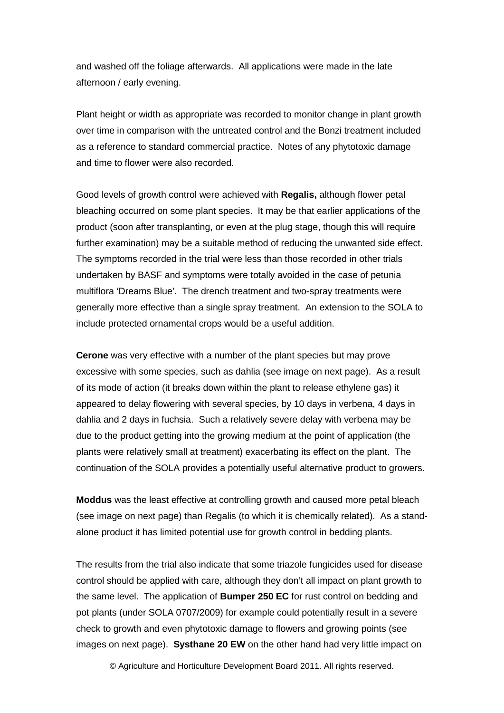and washed off the foliage afterwards. All applications were made in the late afternoon / early evening.

Plant height or width as appropriate was recorded to monitor change in plant growth over time in comparison with the untreated control and the Bonzi treatment included as a reference to standard commercial practice. Notes of any phytotoxic damage and time to flower were also recorded.

Good levels of growth control were achieved with **Regalis,** although flower petal bleaching occurred on some plant species. It may be that earlier applications of the product (soon after transplanting, or even at the plug stage, though this will require further examination) may be a suitable method of reducing the unwanted side effect. The symptoms recorded in the trial were less than those recorded in other trials undertaken by BASF and symptoms were totally avoided in the case of petunia multiflora 'Dreams Blue'. The drench treatment and two-spray treatments were generally more effective than a single spray treatment. An extension to the SOLA to include protected ornamental crops would be a useful addition.

**Cerone** was very effective with a number of the plant species but may prove excessive with some species, such as dahlia (see image on next page). As a result of its mode of action (it breaks down within the plant to release ethylene gas) it appeared to delay flowering with several species, by 10 days in verbena, 4 days in dahlia and 2 days in fuchsia. Such a relatively severe delay with verbena may be due to the product getting into the growing medium at the point of application (the plants were relatively small at treatment) exacerbating its effect on the plant. The continuation of the SOLA provides a potentially useful alternative product to growers.

**Moddus** was the least effective at controlling growth and caused more petal bleach (see image on next page) than Regalis (to which it is chemically related). As a standalone product it has limited potential use for growth control in bedding plants.

The results from the trial also indicate that some triazole fungicides used for disease control should be applied with care, although they don't all impact on plant growth to the same level. The application of **Bumper 250 EC** for rust control on bedding and pot plants (under SOLA 0707/2009) for example could potentially result in a severe check to growth and even phytotoxic damage to flowers and growing points (see images on next page). **Systhane 20 EW** on the other hand had very little impact on

© Agriculture and Horticulture Development Board 2011. All rights reserved.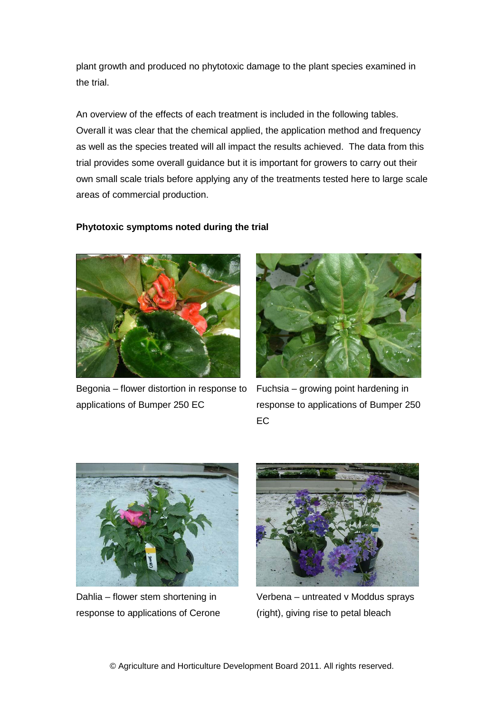plant growth and produced no phytotoxic damage to the plant species examined in the trial.

An overview of the effects of each treatment is included in the following tables. Overall it was clear that the chemical applied, the application method and frequency as well as the species treated will all impact the results achieved. The data from this trial provides some overall guidance but it is important for growers to carry out their own small scale trials before applying any of the treatments tested here to large scale areas of commercial production.

#### **Phytotoxic symptoms noted during the trial**



Begonia – flower distortion in response to applications of Bumper 250 EC

Fuchsia – growing point hardening in response to applications of Bumper 250 EC



Dahlia – flower stem shortening in response to applications of Cerone



Verbena – untreated v Moddus sprays (right), giving rise to petal bleach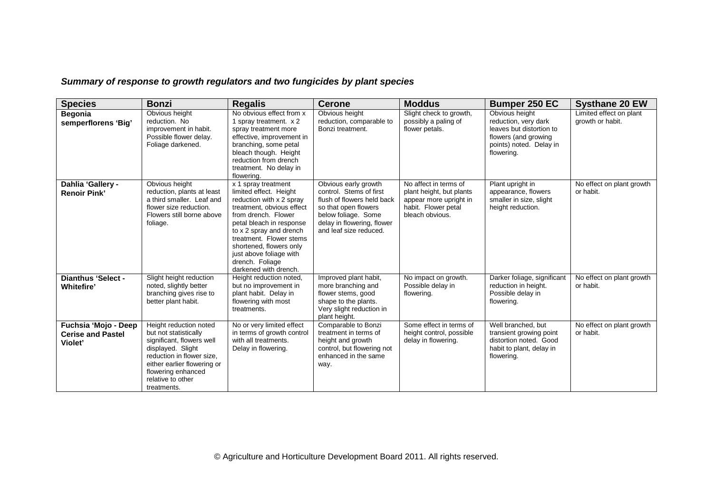*Summary of response to growth regulators and two fungicides by plant species*

| <b>Species</b>                                              | <b>Bonzi</b>                                                                                                                                                                                                            | <b>Regalis</b>                                                                                                                                                                                                                                                                                                    | <b>Cerone</b>                                                                                                                                                                        | <b>Moddus</b>                                                                                                         | <b>Bumper 250 EC</b>                                                                                                                | <b>Systhane 20 EW</b>                       |
|-------------------------------------------------------------|-------------------------------------------------------------------------------------------------------------------------------------------------------------------------------------------------------------------------|-------------------------------------------------------------------------------------------------------------------------------------------------------------------------------------------------------------------------------------------------------------------------------------------------------------------|--------------------------------------------------------------------------------------------------------------------------------------------------------------------------------------|-----------------------------------------------------------------------------------------------------------------------|-------------------------------------------------------------------------------------------------------------------------------------|---------------------------------------------|
| <b>Begonia</b><br>semperflorens 'Big'                       | Obvious height<br>reduction. No<br>improvement in habit.<br>Possible flower delay.<br>Foliage darkened.                                                                                                                 | No obvious effect from x<br>1 spray treatment. x 2<br>spray treatment more<br>effective, improvement in<br>branching, some petal<br>bleach though. Height<br>reduction from drench<br>treatment. No delay in<br>flowering.                                                                                        | Obvious height<br>reduction, comparable to<br>Bonzi treatment.                                                                                                                       | Slight check to growth,<br>possibly a paling of<br>flower petals.                                                     | Obvious height<br>reduction, very dark<br>leaves but distortion to<br>flowers (and growing<br>points) noted. Delay in<br>flowering. | Limited effect on plant<br>growth or habit. |
| Dahlia 'Gallery -<br><b>Renoir Pink'</b>                    | Obvious height<br>reduction, plants at least<br>a third smaller. Leaf and<br>flower size reduction.<br>Flowers still borne above<br>foliage.                                                                            | x 1 spray treatment<br>limited effect. Height<br>reduction with x 2 spray<br>treatment, obvious effect<br>from drench. Flower<br>petal bleach in response<br>to x 2 spray and drench<br>treatment. Flower stems<br>shortened, flowers only<br>just above foliage with<br>drench. Foliage<br>darkened with drench. | Obvious early growth<br>control. Stems of first<br>flush of flowers held back<br>so that open flowers<br>below foliage. Some<br>delay in flowering, flower<br>and leaf size reduced. | No affect in terms of<br>plant height, but plants<br>appear more upright in<br>habit. Flower petal<br>bleach obvious. | Plant upright in<br>appearance, flowers<br>smaller in size, slight<br>height reduction.                                             | No effect on plant growth<br>or habit.      |
| <b>Dianthus 'Select -</b><br><b>Whitefire</b>               | Slight height reduction<br>noted, slightly better<br>branching gives rise to<br>better plant habit.                                                                                                                     | Height reduction noted,<br>but no improvement in<br>plant habit. Delay in<br>flowering with most<br>treatments.                                                                                                                                                                                                   | Improved plant habit,<br>more branching and<br>flower stems, good<br>shape to the plants.<br>Very slight reduction in<br>plant height.                                               | No impact on growth.<br>Possible delay in<br>flowering.                                                               | Darker foliage, significant<br>reduction in height.<br>Possible delay in<br>flowering.                                              | No effect on plant growth<br>or habit.      |
| Fuchsia 'Mojo - Deep<br><b>Cerise and Pastel</b><br>Violet' | Height reduction noted<br>but not statistically<br>significant, flowers well<br>displayed. Slight<br>reduction in flower size,<br>either earlier flowering or<br>flowering enhanced<br>relative to other<br>treatments. | No or very limited effect<br>in terms of growth control<br>with all treatments.<br>Delay in flowering.                                                                                                                                                                                                            | Comparable to Bonzi<br>treatment in terms of<br>height and growth<br>control, but flowering not<br>enhanced in the same<br>way.                                                      | Some effect in terms of<br>height control, possible<br>delay in flowering.                                            | Well branched, but<br>transient growing point<br>distortion noted. Good<br>habit to plant, delay in<br>flowering.                   | No effect on plant growth<br>or habit.      |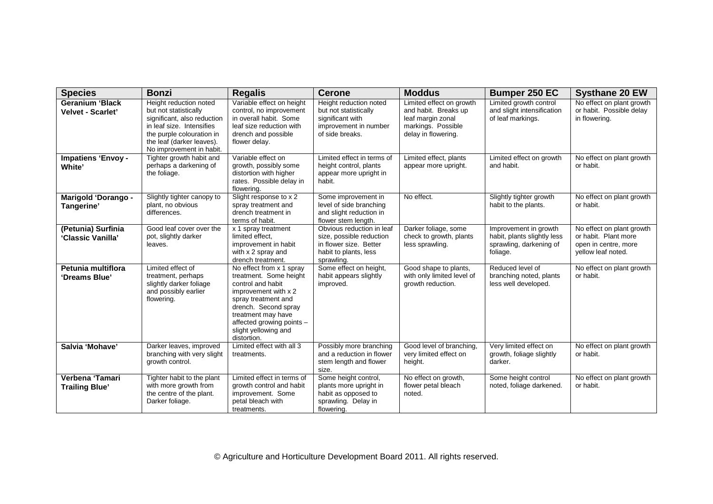| <b>Species</b>                              | <b>Bonzi</b>                                                                                                                                                                                      | <b>Regalis</b>                                                                                                                                                                                                                           | <b>Cerone</b>                                                                                                          | <b>Moddus</b>                                                                                                      | <b>Bumper 250 EC</b>                                                                        | <b>Systhane 20 EW</b>                                                                           |
|---------------------------------------------|---------------------------------------------------------------------------------------------------------------------------------------------------------------------------------------------------|------------------------------------------------------------------------------------------------------------------------------------------------------------------------------------------------------------------------------------------|------------------------------------------------------------------------------------------------------------------------|--------------------------------------------------------------------------------------------------------------------|---------------------------------------------------------------------------------------------|-------------------------------------------------------------------------------------------------|
| <b>Geranium 'Black</b><br>Velvet - Scarlet' | Height reduction noted<br>but not statistically<br>significant, also reduction<br>in leaf size. Intensifies<br>the purple colouration in<br>the leaf (darker leaves).<br>No improvement in habit. | Variable effect on height<br>control, no improvement<br>in overall habit. Some<br>leaf size reduction with<br>drench and possible<br>flower delay.                                                                                       | Height reduction noted<br>but not statistically<br>significant with<br>improvement in number<br>of side breaks.        | Limited effect on growth<br>and habit. Breaks up<br>leaf margin zonal<br>markings. Possible<br>delay in flowering. | Limited growth control<br>and slight intensification<br>of leaf markings.                   | No effect on plant growth<br>or habit. Possible delay<br>in flowering.                          |
| <b>Impatiens 'Envoy-</b><br>White'          | Tighter growth habit and<br>perhaps a darkening of<br>the foliage.                                                                                                                                | Variable effect on<br>growth, possibly some<br>distortion with higher<br>rates. Possible delay in<br>flowering.                                                                                                                          | Limited effect in terms of<br>height control, plants<br>appear more upright in<br>habit.                               | Limited effect, plants<br>appear more upright.                                                                     | Limited effect on growth<br>and habit.                                                      | No effect on plant growth<br>or habit.                                                          |
| Marigold 'Dorango -<br>Tangerine'           | Slightly tighter canopy to<br>plant, no obvious<br>differences.                                                                                                                                   | Slight response to x 2<br>spray treatment and<br>drench treatment in<br>terms of habit.                                                                                                                                                  | Some improvement in<br>level of side branching<br>and slight reduction in<br>flower stem length.                       | No effect.                                                                                                         | Slightly tighter growth<br>habit to the plants.                                             | No effect on plant growth<br>or habit.                                                          |
| (Petunia) Surfinia<br>'Classic Vanilla'     | Good leaf cover over the<br>pot, slightly darker<br>leaves.                                                                                                                                       | x 1 spray treatment<br>limited effect,<br>improvement in habit<br>with x 2 spray and<br>drench treatment.                                                                                                                                | Obvious reduction in leaf<br>size, possible reduction<br>in flower size. Better<br>habit to plants, less<br>sprawling. | Darker foliage, some<br>check to growth, plants<br>less sprawling.                                                 | Improvement in growth<br>habit, plants slightly less<br>sprawling, darkening of<br>foliage. | No effect on plant growth<br>or habit. Plant more<br>open in centre, more<br>yellow leaf noted. |
| Petunia multiflora<br>'Dreams Blue'         | Limited effect of<br>treatment, perhaps<br>slightly darker foliage<br>and possibly earlier<br>flowering.                                                                                          | No effect from x 1 spray<br>treatment. Some height<br>control and habit<br>improvement with x 2<br>spray treatment and<br>drench. Second spray<br>treatment may have<br>affected growing points -<br>slight yellowing and<br>distortion. | Some effect on height,<br>habit appears slightly<br>improved.                                                          | Good shape to plants,<br>with only limited level of<br>growth reduction.                                           | Reduced level of<br>branching noted, plants<br>less well developed.                         | No effect on plant growth<br>or habit.                                                          |
| Salvia 'Mohave'                             | Darker leaves, improved<br>branching with very slight<br>growth control.                                                                                                                          | Limited effect with all 3<br>treatments.                                                                                                                                                                                                 | Possibly more branching<br>and a reduction in flower<br>stem length and flower<br>size.                                | Good level of branching,<br>very limited effect on<br>height.                                                      | Very limited effect on<br>growth, foliage slightly<br>darker.                               | No effect on plant growth<br>or habit.                                                          |
| Verbena 'Tamari<br><b>Trailing Blue</b>     | Tighter habit to the plant<br>with more growth from<br>the centre of the plant.<br>Darker foliage.                                                                                                | Limited effect in terms of<br>growth control and habit<br>improvement. Some<br>petal bleach with<br>treatments.                                                                                                                          | Some height control,<br>plants more upright in<br>habit as opposed to<br>sprawling. Delay in<br>flowering.             | No effect on growth,<br>flower petal bleach<br>noted.                                                              | Some height control<br>noted, foliage darkened.                                             | No effect on plant growth<br>or habit.                                                          |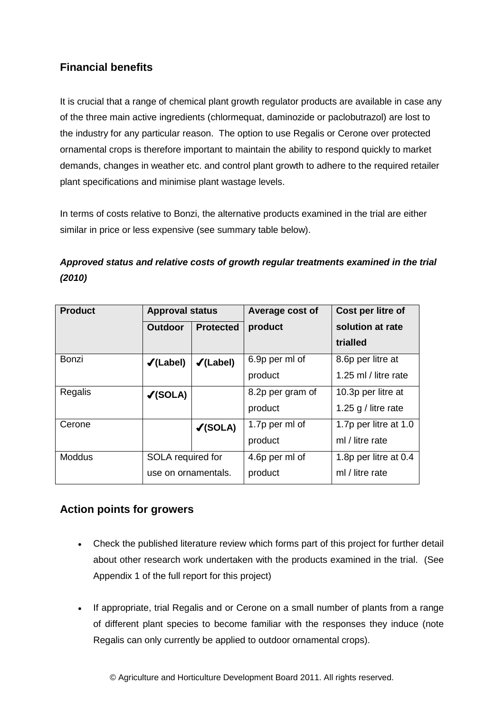## **Financial benefits**

It is crucial that a range of chemical plant growth regulator products are available in case any of the three main active ingredients (chlormequat, daminozide or paclobutrazol) are lost to the industry for any particular reason. The option to use Regalis or Cerone over protected ornamental crops is therefore important to maintain the ability to respond quickly to market demands, changes in weather etc. and control plant growth to adhere to the required retailer plant specifications and minimise plant wastage levels.

In terms of costs relative to Bonzi, the alternative products examined in the trial are either similar in price or less expensive (see summary table below).

## *Approved status and relative costs of growth regular treatments examined in the trial (2010)*

| <b>Product</b> | <b>Approval status</b> |                      | Average cost of  | Cost per litre of     |
|----------------|------------------------|----------------------|------------------|-----------------------|
|                | <b>Outdoor</b>         | <b>Protected</b>     | product          | solution at rate      |
|                |                        |                      |                  | trialled              |
| Bonzi          | $\checkmark$ (Label)   | $\checkmark$ (Label) | 6.9p per ml of   | 8.6p per litre at     |
|                |                        |                      | product          | 1.25 ml / litre rate  |
| Regalis        | $\checkmark$ (SOLA)    |                      | 8.2p per gram of | 10.3p per litre at    |
|                |                        |                      | product          | 1.25 g / litre rate   |
| Cerone         |                        | $\checkmark$ (SOLA)  | 1.7p per ml of   | 1.7p per litre at 1.0 |
|                |                        |                      | product          | ml / litre rate       |
| <b>Moddus</b>  | SOLA required for      |                      | 4.6p per ml of   | 1.8p per litre at 0.4 |
|                | use on ornamentals.    |                      | product          | ml / litre rate       |

#### **Action points for growers**

- Check the published literature review which forms part of this project for further detail about other research work undertaken with the products examined in the trial. (See Appendix 1 of the full report for this project)
- If appropriate, trial Regalis and or Cerone on a small number of plants from a range of different plant species to become familiar with the responses they induce (note Regalis can only currently be applied to outdoor ornamental crops).